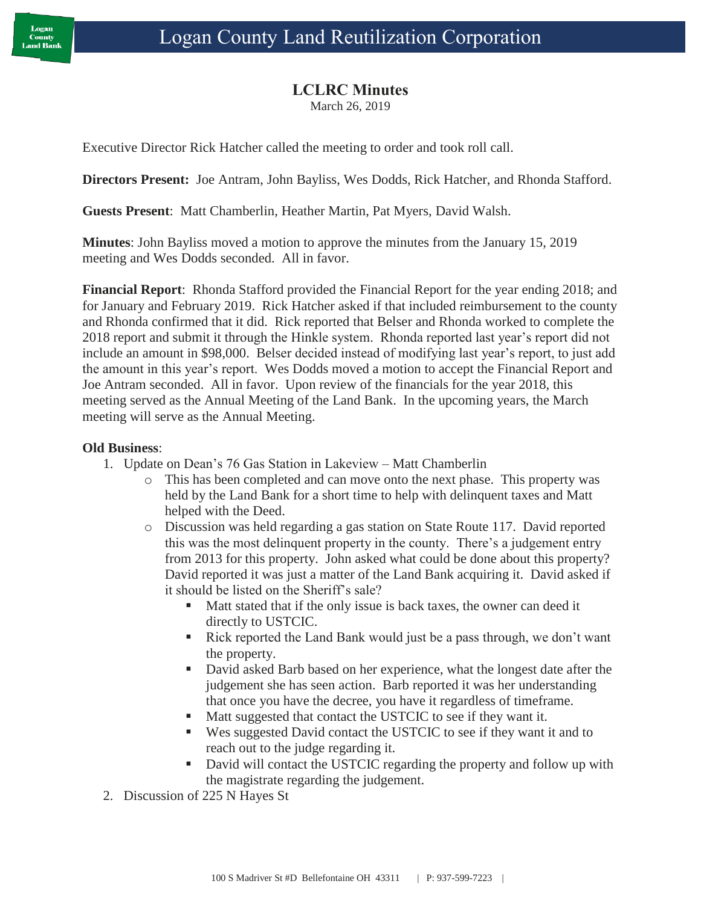## **LCLRC Minutes**

March 26, 2019

Executive Director Rick Hatcher called the meeting to order and took roll call.

**Directors Present:** Joe Antram, John Bayliss, Wes Dodds, Rick Hatcher, and Rhonda Stafford.

**Guests Present**: Matt Chamberlin, Heather Martin, Pat Myers, David Walsh.

**Minutes**: John Bayliss moved a motion to approve the minutes from the January 15, 2019 meeting and Wes Dodds seconded. All in favor.

**Financial Report**: Rhonda Stafford provided the Financial Report for the year ending 2018; and for January and February 2019. Rick Hatcher asked if that included reimbursement to the county and Rhonda confirmed that it did. Rick reported that Belser and Rhonda worked to complete the 2018 report and submit it through the Hinkle system. Rhonda reported last year's report did not include an amount in \$98,000. Belser decided instead of modifying last year's report, to just add the amount in this year's report. Wes Dodds moved a motion to accept the Financial Report and Joe Antram seconded. All in favor. Upon review of the financials for the year 2018, this meeting served as the Annual Meeting of the Land Bank. In the upcoming years, the March meeting will serve as the Annual Meeting.

## **Old Business**:

- 1. Update on Dean's 76 Gas Station in Lakeview Matt Chamberlin
	- o This has been completed and can move onto the next phase. This property was held by the Land Bank for a short time to help with delinquent taxes and Matt helped with the Deed.
	- o Discussion was held regarding a gas station on State Route 117. David reported this was the most delinquent property in the county. There's a judgement entry from 2013 for this property. John asked what could be done about this property? David reported it was just a matter of the Land Bank acquiring it. David asked if it should be listed on the Sheriff's sale?
		- Matt stated that if the only issue is back taxes, the owner can deed it directly to USTCIC.
		- Rick reported the Land Bank would just be a pass through, we don't want the property.
		- David asked Barb based on her experience, what the longest date after the judgement she has seen action. Barb reported it was her understanding that once you have the decree, you have it regardless of timeframe.
		- Matt suggested that contact the USTCIC to see if they want it.
		- Wes suggested David contact the USTCIC to see if they want it and to reach out to the judge regarding it.
		- David will contact the USTCIC regarding the property and follow up with the magistrate regarding the judgement.
- 2. Discussion of 225 N Hayes St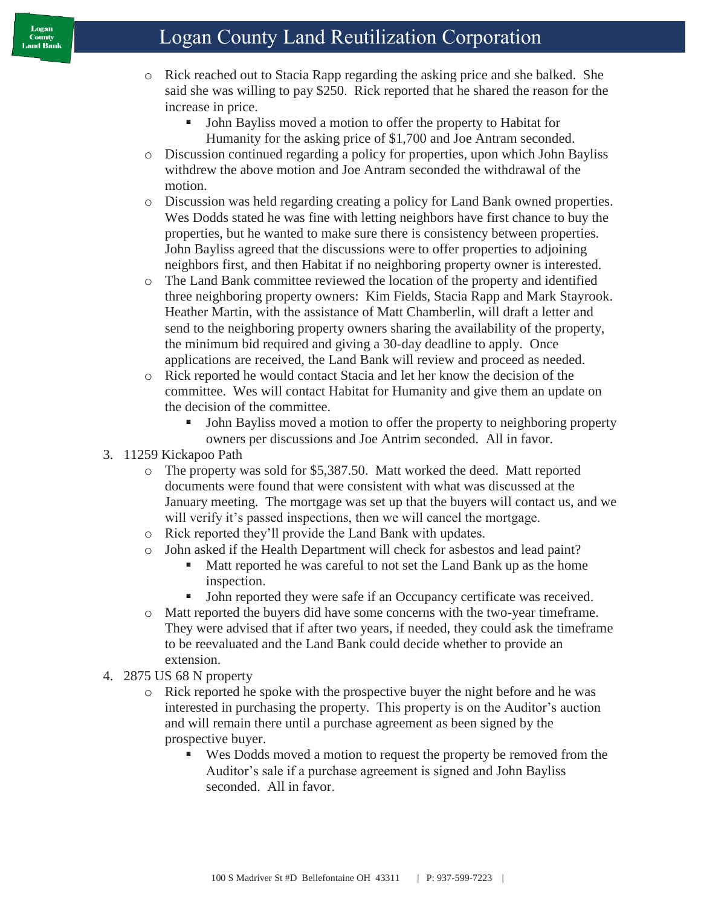- o Rick reached out to Stacia Rapp regarding the asking price and she balked. She said she was willing to pay \$250. Rick reported that he shared the reason for the increase in price.
	- John Bayliss moved a motion to offer the property to Habitat for Humanity for the asking price of \$1,700 and Joe Antram seconded.
- o Discussion continued regarding a policy for properties, upon which John Bayliss withdrew the above motion and Joe Antram seconded the withdrawal of the motion.
- o Discussion was held regarding creating a policy for Land Bank owned properties. Wes Dodds stated he was fine with letting neighbors have first chance to buy the properties, but he wanted to make sure there is consistency between properties. John Bayliss agreed that the discussions were to offer properties to adjoining neighbors first, and then Habitat if no neighboring property owner is interested.
- o The Land Bank committee reviewed the location of the property and identified three neighboring property owners: Kim Fields, Stacia Rapp and Mark Stayrook. Heather Martin, with the assistance of Matt Chamberlin, will draft a letter and send to the neighboring property owners sharing the availability of the property, the minimum bid required and giving a 30-day deadline to apply. Once applications are received, the Land Bank will review and proceed as needed.
- o Rick reported he would contact Stacia and let her know the decision of the committee. Wes will contact Habitat for Humanity and give them an update on the decision of the committee.
	- John Bayliss moved a motion to offer the property to neighboring property owners per discussions and Joe Antrim seconded. All in favor.

## 3. 11259 Kickapoo Path

- o The property was sold for \$5,387.50. Matt worked the deed. Matt reported documents were found that were consistent with what was discussed at the January meeting. The mortgage was set up that the buyers will contact us, and we will verify it's passed inspections, then we will cancel the mortgage.
- o Rick reported they'll provide the Land Bank with updates.
- o John asked if the Health Department will check for asbestos and lead paint?
	- Matt reported he was careful to not set the Land Bank up as the home inspection.
	- John reported they were safe if an Occupancy certificate was received.
- o Matt reported the buyers did have some concerns with the two-year timeframe. They were advised that if after two years, if needed, they could ask the timeframe to be reevaluated and the Land Bank could decide whether to provide an extension.
- 4. 2875 US 68 N property
	- o Rick reported he spoke with the prospective buyer the night before and he was interested in purchasing the property. This property is on the Auditor's auction and will remain there until a purchase agreement as been signed by the prospective buyer.
		- Wes Dodds moved a motion to request the property be removed from the Auditor's sale if a purchase agreement is signed and John Bayliss seconded. All in favor.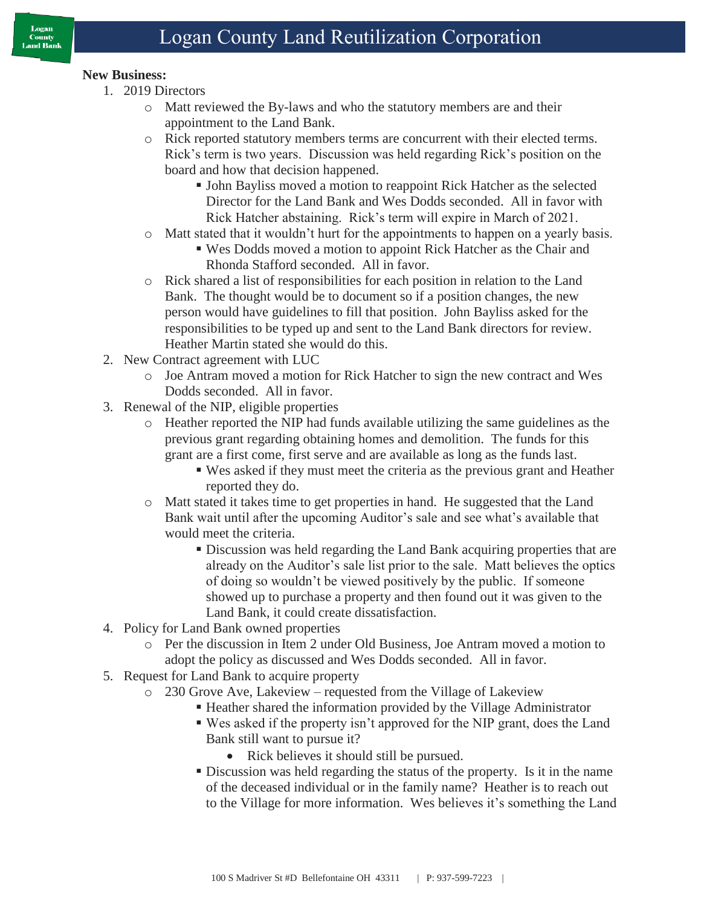- 1. 2019 Directors
	- o Matt reviewed the By-laws and who the statutory members are and their appointment to the Land Bank.
	- o Rick reported statutory members terms are concurrent with their elected terms. Rick's term is two years. Discussion was held regarding Rick's position on the board and how that decision happened.
		- John Bayliss moved a motion to reappoint Rick Hatcher as the selected Director for the Land Bank and Wes Dodds seconded. All in favor with Rick Hatcher abstaining. Rick's term will expire in March of 2021.
	- o Matt stated that it wouldn't hurt for the appointments to happen on a yearly basis.
		- Wes Dodds moved a motion to appoint Rick Hatcher as the Chair and Rhonda Stafford seconded. All in favor.
	- o Rick shared a list of responsibilities for each position in relation to the Land Bank. The thought would be to document so if a position changes, the new person would have guidelines to fill that position. John Bayliss asked for the responsibilities to be typed up and sent to the Land Bank directors for review. Heather Martin stated she would do this.
- 2. New Contract agreement with LUC
	- o Joe Antram moved a motion for Rick Hatcher to sign the new contract and Wes Dodds seconded. All in favor.
- 3. Renewal of the NIP, eligible properties
	- o Heather reported the NIP had funds available utilizing the same guidelines as the previous grant regarding obtaining homes and demolition. The funds for this grant are a first come, first serve and are available as long as the funds last.
		- Wes asked if they must meet the criteria as the previous grant and Heather reported they do.
	- o Matt stated it takes time to get properties in hand. He suggested that the Land Bank wait until after the upcoming Auditor's sale and see what's available that would meet the criteria.
		- Discussion was held regarding the Land Bank acquiring properties that are already on the Auditor's sale list prior to the sale. Matt believes the optics of doing so wouldn't be viewed positively by the public. If someone showed up to purchase a property and then found out it was given to the Land Bank, it could create dissatisfaction.
- 4. Policy for Land Bank owned properties
	- o Per the discussion in Item 2 under Old Business, Joe Antram moved a motion to adopt the policy as discussed and Wes Dodds seconded. All in favor.
- 5. Request for Land Bank to acquire property
	- o 230 Grove Ave, Lakeview requested from the Village of Lakeview
		- Heather shared the information provided by the Village Administrator
		- Wes asked if the property isn't approved for the NIP grant, does the Land Bank still want to pursue it?
			- Rick believes it should still be pursued.
		- Discussion was held regarding the status of the property. Is it in the name of the deceased individual or in the family name? Heather is to reach out to the Village for more information. Wes believes it's something the Land